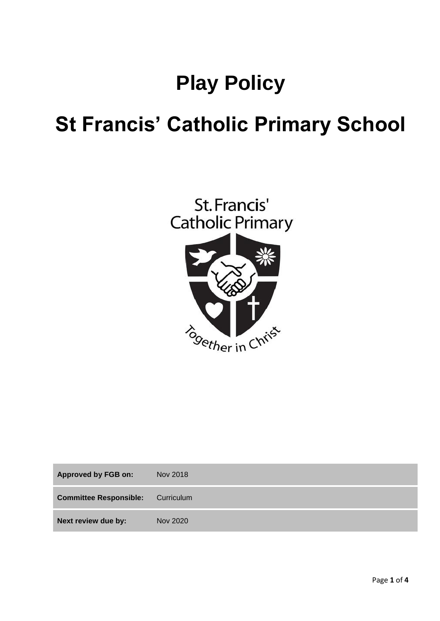# **Play Policy**

## **St Francis' Catholic Primary School**



| <b>Approved by FGB on:</b>    | Nov 2018   |
|-------------------------------|------------|
| <b>Committee Responsible:</b> | Curriculum |
| Next review due by:           | Nov 2020   |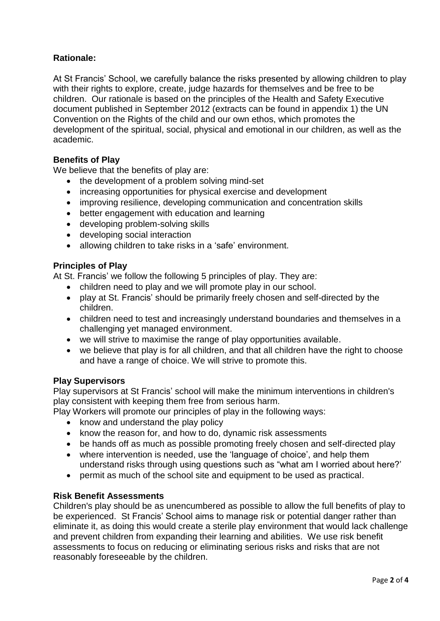### **Rationale:**

At St Francis' School, we carefully balance the risks presented by allowing children to play with their rights to explore, create, judge hazards for themselves and be free to be children. Our rationale is based on the principles of the Health and Safety Executive document published in September 2012 (extracts can be found in appendix 1) the UN Convention on the Rights of the child and our own ethos, which promotes the development of the spiritual, social, physical and emotional in our children, as well as the academic.

#### **Benefits of Play**

We believe that the benefits of play are:

- the development of a problem solving mind-set
- increasing opportunities for physical exercise and development
- improving resilience, developing communication and concentration skills
- better engagement with education and learning
- developing problem-solving skills
- developing social interaction
- allowing children to take risks in a 'safe' environment.

#### **Principles of Play**

At St. Francis' we follow the following 5 principles of play. They are:

- children need to play and we will promote play in our school.
- play at St. Francis' should be primarily freely chosen and self-directed by the children.
- children need to test and increasingly understand boundaries and themselves in a challenging yet managed environment.
- we will strive to maximise the range of play opportunities available.
- we believe that play is for all children, and that all children have the right to choose and have a range of choice. We will strive to promote this.

#### **Play Supervisors**

Play supervisors at St Francis' school will make the minimum interventions in children's play consistent with keeping them free from serious harm.

- Play Workers will promote our principles of play in the following ways:
	- know and understand the play policy
	- know the reason for, and how to do, dynamic risk assessments
	- be hands off as much as possible promoting freely chosen and self-directed play
	- where intervention is needed, use the 'language of choice', and help them understand risks through using questions such as "what am I worried about here?'
	- permit as much of the school site and equipment to be used as practical.

#### **Risk Benefit Assessments**

Children's play should be as unencumbered as possible to allow the full benefits of play to be experienced. St Francis' School aims to manage risk or potential danger rather than eliminate it, as doing this would create a sterile play environment that would lack challenge and prevent children from expanding their learning and abilities. We use risk benefit assessments to focus on reducing or eliminating serious risks and risks that are not reasonably foreseeable by the children.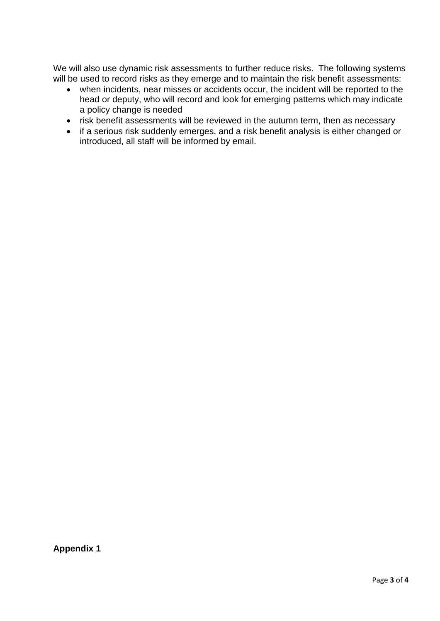We will also use dynamic risk assessments to further reduce risks. The following systems will be used to record risks as they emerge and to maintain the risk benefit assessments:

- when incidents, near misses or accidents occur, the incident will be reported to the head or deputy, who will record and look for emerging patterns which may indicate a policy change is needed
- risk benefit assessments will be reviewed in the autumn term, then as necessary
- if a serious risk suddenly emerges, and a risk benefit analysis is either changed or introduced, all staff will be informed by email.